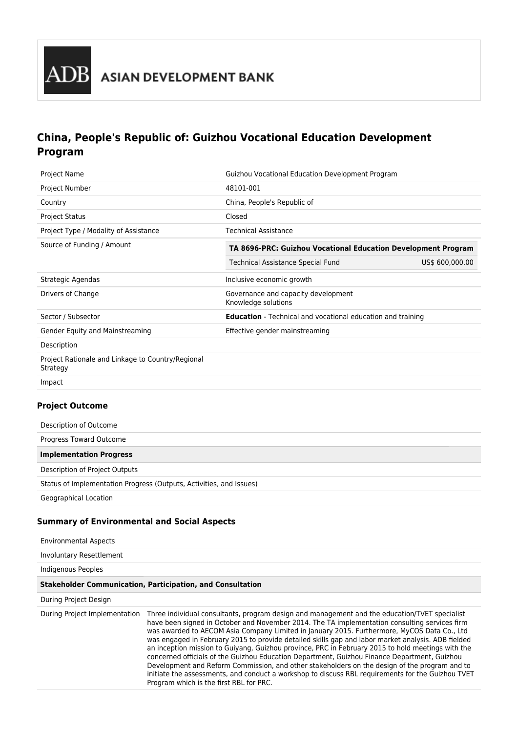

# **China, People's Republic of: Guizhou Vocational Education Development Program**

| <b>Project Name</b>                                           | Guizhou Vocational Education Development Program                   |                 |  |
|---------------------------------------------------------------|--------------------------------------------------------------------|-----------------|--|
| Project Number                                                | 48101-001                                                          |                 |  |
| Country                                                       | China, People's Republic of                                        |                 |  |
| <b>Project Status</b>                                         | Closed                                                             |                 |  |
| Project Type / Modality of Assistance                         | <b>Technical Assistance</b>                                        |                 |  |
| Source of Funding / Amount                                    | TA 8696-PRC: Guizhou Vocational Education Development Program      |                 |  |
|                                                               | <b>Technical Assistance Special Fund</b>                           | US\$ 600,000.00 |  |
| Strategic Agendas                                             | Inclusive economic growth                                          |                 |  |
| Drivers of Change                                             | Governance and capacity development<br>Knowledge solutions         |                 |  |
| Sector / Subsector                                            | <b>Education</b> - Technical and vocational education and training |                 |  |
| Gender Equity and Mainstreaming                               | Effective gender mainstreaming                                     |                 |  |
| Description                                                   |                                                                    |                 |  |
| Project Rationale and Linkage to Country/Regional<br>Strategy |                                                                    |                 |  |
| Impact                                                        |                                                                    |                 |  |

# **Project Outcome**

| Description of Outcome                                              |  |
|---------------------------------------------------------------------|--|
| Progress Toward Outcome                                             |  |
| <b>Implementation Progress</b>                                      |  |
| Description of Project Outputs                                      |  |
| Status of Implementation Progress (Outputs, Activities, and Issues) |  |
| Geographical Location                                               |  |

## **Summary of Environmental and Social Aspects**

| <b>Environmental Aspects</b>  |                                                                                                                                                                                                                                                                                                                                                                                                                                                                                                                                                                                                                                                                                                                                                                                                                                                           |
|-------------------------------|-----------------------------------------------------------------------------------------------------------------------------------------------------------------------------------------------------------------------------------------------------------------------------------------------------------------------------------------------------------------------------------------------------------------------------------------------------------------------------------------------------------------------------------------------------------------------------------------------------------------------------------------------------------------------------------------------------------------------------------------------------------------------------------------------------------------------------------------------------------|
| Involuntary Resettlement      |                                                                                                                                                                                                                                                                                                                                                                                                                                                                                                                                                                                                                                                                                                                                                                                                                                                           |
| Indigenous Peoples            |                                                                                                                                                                                                                                                                                                                                                                                                                                                                                                                                                                                                                                                                                                                                                                                                                                                           |
|                               | <b>Stakeholder Communication, Participation, and Consultation</b>                                                                                                                                                                                                                                                                                                                                                                                                                                                                                                                                                                                                                                                                                                                                                                                         |
| During Project Design         |                                                                                                                                                                                                                                                                                                                                                                                                                                                                                                                                                                                                                                                                                                                                                                                                                                                           |
| During Project Implementation | Three individual consultants, program design and management and the education/TVET specialist<br>have been signed in October and November 2014. The TA implementation consulting services firm<br>was awarded to AECOM Asia Company Limited in January 2015. Furthermore, MyCOS Data Co., Ltd<br>was engaged in February 2015 to provide detailed skills gap and labor market analysis. ADB fielded<br>an inception mission to Guiyang, Guizhou province, PRC in February 2015 to hold meetings with the<br>concerned officials of the Guizhou Education Department, Guizhou Finance Department, Guizhou<br>Development and Reform Commission, and other stakeholders on the design of the program and to<br>initiate the assessments, and conduct a workshop to discuss RBL requirements for the Guizhou TVET<br>Program which is the first RBL for PRC. |